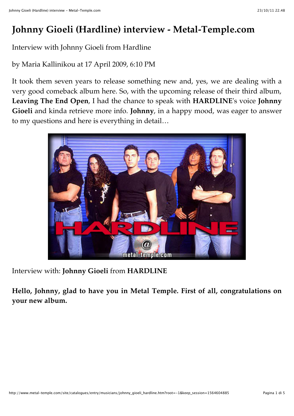# **Johnny Gioeli (Hardline) interview - Metal-Temple.com**

Interview with Johnny Gioeli from Hardline

by Maria Kallinikou at 17 April 2009, 6:10 PM

It took them seven years to release something new and, yes, we are dealing with a very good comeback album here. So, with the upcoming release of their third album, **Leaving The End Open**, I had the chance to speak with **HARDLINE**'s voice **Johnny Gioeli** and kinda retrieve more info. **Johnny**, in a happy mood, was eager to answer to my questions and here is everything in detail…



Interview with: **Johnny Gioeli** from **HARDLINE**

**Hello, Johnny, glad to have you in Metal Temple. First of all, congratulations on your new album.**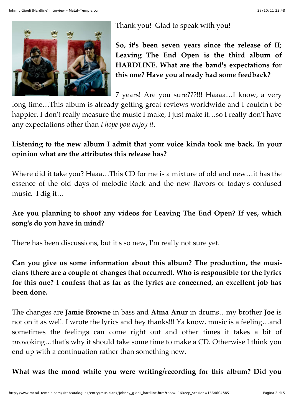

Thank you! Glad to speak with you!

**So, it's been seven years since the release of II; Leaving The End Open is the third album of HARDLINE. What are the band's expectations for this one? Have you already had some feedback?**

7 years! Are you sure???!!! Haaaa…I know, a very

long time…This album is already getting great reviews worldwide and I couldn't be happier. I don't really measure the music I make, I just make it...so I really don't have any expectations other than *I hope you enjoy it*.

## **Listening to the new album I admit that your voice kinda took me back. In your opinion what are the attributes this release has?**

Where did it take you? Haaa…This CD for me is a mixture of old and new…it has the essence of the old days of melodic Rock and the new flavors of today's confused music. I dig it…

# **Are you planning to shoot any videos for Leaving The End Open? If yes, which song's do you have in mind?**

There has been discussions, but it's so new, I'm really not sure yet.

**Can you give us some information about this album? The production, the musicians (there are a couple of changes that occurred). Who is responsible for the lyrics for this one? I confess that as far as the lyrics are concerned, an excellent job has been done.**

The changes are **Jamie Browne** in bass and **Atma Anur** in drums…my brother **Joe** is not on it as well. I wrote the lyrics and hey thanks!!! Ya know, music is a feeling…and sometimes the feelings can come right out and other times it takes a bit of provoking…that's why it should take some time to make a CD. Otherwise I think you end up with a continuation rather than something new.

**What was the mood while you were writing/recording for this album? Did you**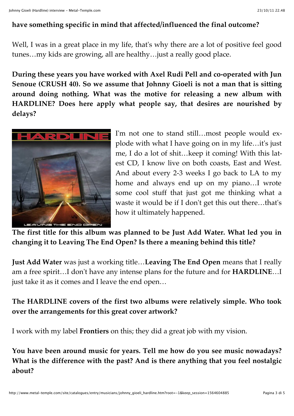#### **have something specific in mind that affected/influenced the final outcome?**

Well, I was in a great place in my life, that's why there are a lot of positive feel good tunes…my kids are growing, all are healthy…just a really good place.

**During these years you have worked with Axel Rudi Pell and co-operated with Jun Senoue (CRUSH 40). So we assume that Johnny Gioeli is not a man that is sitting around doing nothing. What was the motive for releasing a new album with HARDLINE? Does here apply what people say, that desires are nourished by delays?**



I'm not one to stand still…most people would explode with what I have going on in my life…it's just me, I do a lot of shit…keep it coming! With this latest CD, I know live on both coasts, East and West. And about every 2-3 weeks I go back to LA to my home and always end up on my piano…I wrote some cool stuff that just got me thinking what a waste it would be if I don't get this out there…that's how it ultimately happened.

**The first title for this album was planned to be Just Add Water. What led you in changing it to Leaving The End Open? Is there a meaning behind this title?**

**Just Add Water** was just a working title…**Leaving The End Open** means that I really am a free spirit…I don't have any intense plans for the future and for **HARDLINE**…I just take it as it comes and I leave the end open…

## **The HARDLINE covers of the first two albums were relatively simple. Who took over the arrangements for this great cover artwork?**

I work with my label **Frontiers** on this; they did a great job with my vision.

**You have been around music for years. Tell me how do you see music nowadays? What is the difference with the past? And is there anything that you feel nostalgic about?**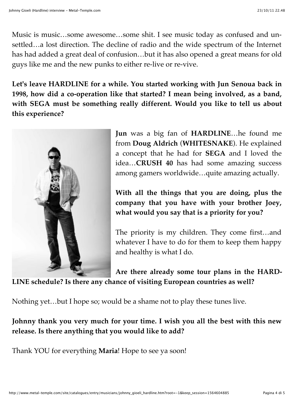Music is music…some awesome…some shit. I see music today as confused and unsettled…a lost direction. The decline of radio and the wide spectrum of the Internet has had added a great deal of confusion…but it has also opened a great means for old guys like me and the new punks to either re-live or re-vive.

**Let's leave HARDLINE for a while. You started working with Jun Senoua back in 1998, how did a co-operation like that started? I mean being involved, as a band, with SEGA must be something really different. Would you like to tell us about this experience?**



**Jun** was a big fan of **HARDLINE**…he found me from **Doug Aldrich** (**WHITESNAKE**). He explained a concept that he had for **SEGA** and I loved the idea…**CRUSH 40** has had some amazing success among gamers worldwide…quite amazing actually.

**With all the things that you are doing, plus the company that you have with your brother Joey, what would you say that is a priority for you?**

The priority is my children. They come first…and whatever I have to do for them to keep them happy and healthy is what I do.

**Are there already some tour plans in the HARD-LINE schedule? Is there any chance of visiting European countries as well?**

Nothing yet…but I hope so; would be a shame not to play these tunes live.

**Johnny thank you very much for your time. I wish you all the best with this new release. Is there anything that you would like to add?**

Thank YOU for everything **Maria**! Hope to see ya soon!